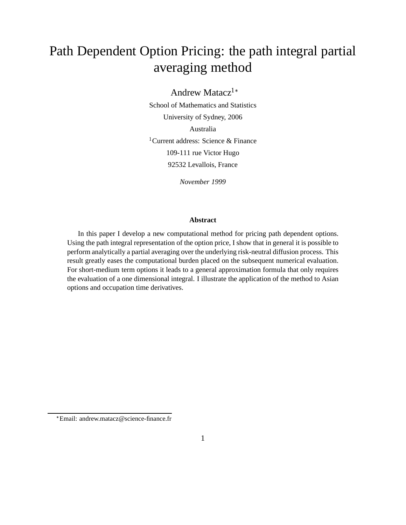# Path Dependent Option Pricing: the path integral partial averaging method

Andrew Matacz $^1$ 

School of Mathematics and Statistics University of Sydney, 2006 Australia <sup>1</sup>Current address: Science & Finance 109-111 rue Victor Hugo 92532 Levallois, France

*November 1999*

### **Abstract**

In this paper I develop a new computational method for pricing path dependent options. Using the path integral representation of the option price, I show that in general it is possible to perform analytically a partial averaging over the underlying risk-neutral diffusion process. This result greatly eases the computational burden placed on the subsequent numerical evaluation. For short-medium term options it leads to a general approximation formula that only requires the evaluation of a one dimensional integral. I illustrate the application of the method to Asian options and occupation time derivatives.

Email: andrew.matacz@science-finance.fr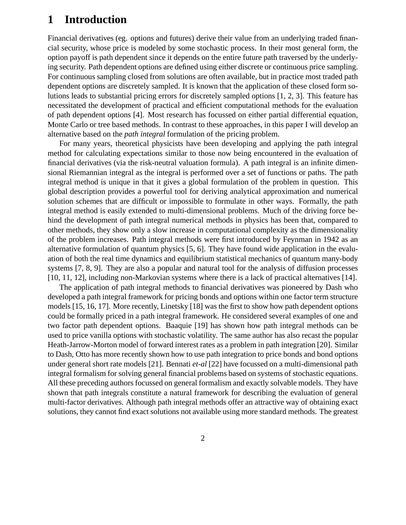## **1 Introduction**

Financial derivatives (eg. options and futures) derive their value from an underlying traded financial security, whose price is modeled by some stochastic process. In their most general form, the option payoff is path dependent since it depends on the entire future path traversed by the underlying security. Path dependent options are defined using either discrete or continuous price sampling. For continuous sampling closed from solutions are often available, but in practice most traded path dependent options are discretely sampled. It is known that the application of these closed form solutions leads to substantial pricing errors for discretely sampled options [1, 2, 3]. This feature has necessitated the development of practical and efficient computational methods for the evaluation of path dependent options [4]. Most research has focussed on either partial differential equation, Monte Carlo or tree based methods. In contrast to these approaches, in this paper I will develop an alternative based on the *path integral* formulation of the pricing problem.

For many years, theoretical physicists have been developing and applying the path integral method for calculating expectations similar to those now being encountered in the evaluation of financial derivatives (via the risk-neutral valuation formula). A path integral is an infinite dimensional Riemannian integral as the integral is performed over a set of functions or paths. The path integral method is unique in that it gives a global formulation of the problem in question. This global description provides a powerful tool for deriving analytical approximation and numerical solution schemes that are difficult or impossible to formulate in other ways. Formally, the path integral method is easily extended to multi-dimensional problems. Much of the driving force behind the development of path integral numerical methods in physics has been that, compared to other methods, they show only a slow increase in computational complexity as the dimensionality of the problem increases. Path integral methods were first introduced by Feynman in 1942 as an alternative formulation of quantum physics [5, 6]. They have found wide application in the evaluation of both the real time dynamics and equilibrium statistical mechanics of quantum many-body systems [7, 8, 9]. They are also a popular and natural tool for the analysis of diffusion processes [10, 11, 12], including non-Markovian systems where there is a lack of practical alternatives [14].

The application of path integral methods to financial derivatives was pioneered by Dash who developed a path integral framework for pricing bonds and options within one factor term structure models [15, 16, 17]. More recently, Linetsky [18] was the first to show how path dependent options could be formally priced in a path integral framework. He considered several examples of one and two factor path dependent options. Baaquie [19] has shown how path integral methods can be used to price vanilla options with stochastic volatility. The same author has also recast the popular Heath-Jarrow-Morton model of forward interest rates as a problem in path integration [20]. Similar to Dash, Otto has more recently shown how to use path integration to price bonds and bond options under general short rate models [21]. Bennati *et-al* [22] have focussed on a multi-dimensional path integral formalism for solving general financial problems based on systems of stochastic equations. All these preceding authors focussed on general formalism and exactly solvable models. They have shown that path integrals constitute a natural framework for describing the evaluation of general multi-factor derivatives. Although path integral methods offer an attractive way of obtaining exact solutions, they cannot find exact solutions not available using more standard methods. The greatest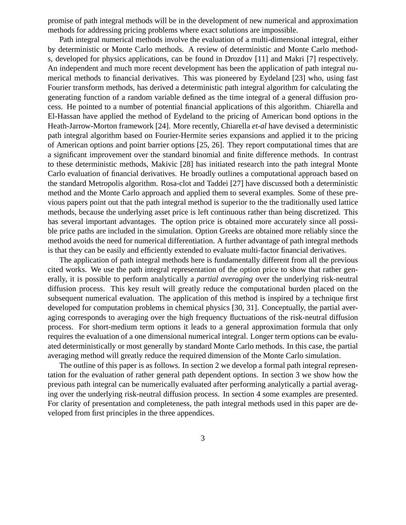promise of path integral methods will be in the development of new numerical and approximation methods for addressing pricing problems where exact solutions are impossible.

Path integral numerical methods involve the evaluation of a multi-dimensional integral, either by deterministic or Monte Carlo methods. A review of deterministic and Monte Carlo methods, developed for physics applications, can be found in Drozdov [11] and Makri [7] respectively. An independent and much more recent development has been the application of path integral numerical methods to financial derivatives. This was pioneered by Eydeland [23] who, using fast Fourier transform methods, has derived a deterministic path integral algorithm for calculating the generating function of a random variable defined as the time integral of a general diffusion process. He pointed to a number of potential financial applications of this algorithm. Chiarella and El-Hassan have applied the method of Eydeland to the pricing of American bond options in the Heath-Jarrow-Morton framework [24]. More recently, Chiarella *et-al* have devised a deterministic path integral algorithm based on Fourier-Hermite series expansions and applied it to the pricing of American options and point barrier options [25, 26]. They report computational times that are a significant improvement over the standard binomial and finite difference methods. In contrast to these deterministic methods, Makivic [28] has initiated research into the path integral Monte Carlo evaluation of financial derivatives. He broadly outlines a computational approach based on the standard Metropolis algorithm. Rosa-clot and Taddei [27] have discussed both a deterministic method and the Monte Carlo approach and applied them to several examples. Some of these previous papers point out that the path integral method is superior to the the traditionally used lattice methods, because the underlying asset price is left continuous rather than being discretized. This has several important advantages. The option price is obtained more accurately since all possible price paths are included in the simulation. Option Greeks are obtained more reliably since the method avoids the need for numerical differentiation. A further advantage of path integral methods is that they can be easily and efficiently extended to evaluate multi-factor financial derivatives.

The application of path integral methods here is fundamentally different from all the previous cited works. We use the path integral representation of the option price to show that rather generally, it is possible to perform analytically a *partial averaging* over the underlying risk-neutral diffusion process. This key result will greatly reduce the computational burden placed on the subsequent numerical evaluation. The application of this method is inspired by a technique first developed for computation problems in chemical physics [30, 31]. Conceptually, the partial averaging corresponds to averaging over the high frequency fluctuations of the risk-neutral diffusion process. For short-medium term options it leads to a general approximation formula that only requires the evaluation of a one dimensional numerical integral. Longer term options can be evaluated deterministically or most generally by standard Monte Carlo methods. In this case, the partial averaging method will greatly reduce the required dimension of the Monte Carlo simulation.

The outline of this paper is as follows. In section 2 we develop a formal path integral representation for the evaluation of rather general path dependent options. In section 3 we show how the previous path integral can be numerically evaluated after performing analytically a partial averaging over the underlying risk-neutral diffusion process. In section 4 some examples are presented. For clarity of presentation and completeness, the path integral methods used in this paper are developed from first principles in the three appendices.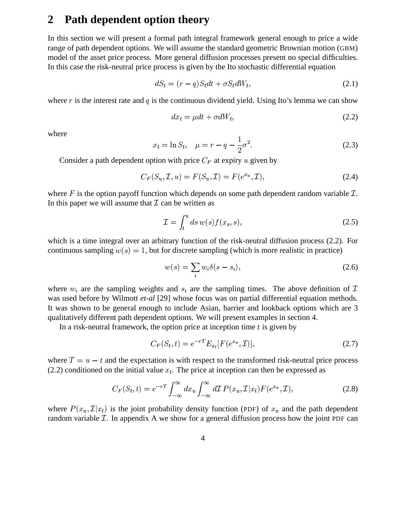## **2 Path dependent option theory**

In this section we will present a formal path integral framework general enough to price a wide range of path dependent options. We will assume the standard geometric Brownian motion (GBM) model of the asset price process. More general diffusion processes present no special difficulties. In this case the risk-neutral price process is given by the Ito stochastic differential equation

$$
dS_t = (r - q)S_t dt + \sigma S_t dW_t, \qquad (2.1)
$$

where  $r$  is the interest rate and  $q$  is the continuous dividend yield. Using Ito's lemma we can show

$$
dx_t = \mu dt + \sigma dW_t, \qquad (2.2)
$$

where

$$
x_t = \ln S_t, \quad \mu = r - q - \frac{1}{2}\sigma^2. \tag{2.3}
$$

Consider a path dependent option with price  $C_F$  at expiry u given by

$$
C_F(S_u, \mathcal{I}, u) = F(S_u, \mathcal{I}) = F(e^{x_u}, \mathcal{I}), \qquad (2.4)
$$

where F is the option payoff function which depends on some path dependent random variable  $\mathcal{I}$ . In this paper we will assume that  $\mathcal I$  can be written as

$$
\mathcal{I} = \int_{t}^{u} ds \, w(s) f(x_s, s), \tag{2.5}
$$

which is a time integral over an arbitrary function of the risk-neutral diffusion process (2.2). For continuous sampling  $w(s) = 1$ , but for discrete sampling (which is more realistic in practice)

$$
w(s) = \sum_{i} w_i \delta(s - s_i),
$$
\n(2.6)

where  $w_i$  are the sampling weights and  $s_i$  are the sampling times. The above definition of  $\mathcal I$ was used before by Wilmott *et-al* [29] whose focus was on partial differential equation methods. It was shown to be general enough to include Asian, barrier and lookback options which are 3 qualitatively different path dependent options. We will present examples in section 4.

In a risk-neutral framework, the option price at inception time  $t$  is given by

$$
C_F(S_t, t) = e^{-rT} E_{x_t}[F(e^{x_u}, \mathcal{I})], \qquad (2.7)
$$

where  $T = u - t$  and the  $u - t$  and the expectation is with respect to the transformed risk-neutral price process (2.2) conditioned on the initial value  $x_t$ . The price at inception can then be expressed as

$$
C_F(S_t, t) = e^{-rT} \int_{-\infty}^{\infty} dx_u \int_{-\infty}^{\infty} d\mathcal{I} P(x_u, \mathcal{I}|x_t) F(e^{x_u}, \mathcal{I}), \qquad (2.8)
$$

where  $P(x_u, \mathcal{I}|x_t)$  is the joint probability density function (PDF) of  $x_u$  and the path dependent random variable  $\mathcal{I}$ . In appendix A we show for a general diffusion process how the joint PDF can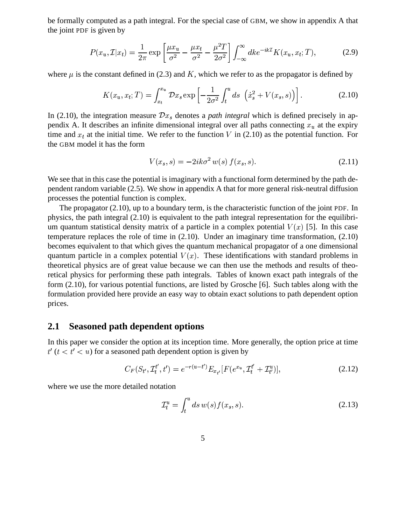be formally computed as a path integral. For the special case of GBM, we show in appendix A that the joint PDF is given by

$$
P(x_u, \mathcal{I}|x_t) = \frac{1}{2\pi} \exp\left[\frac{\mu x_u}{\sigma^2} - \frac{\mu x_t}{\sigma^2} - \frac{\mu^2 T}{2\sigma^2}\right] \int_{-\infty}^{\infty} dk e^{-ik\mathcal{I}} K(x_u, x_t; T), \tag{2.9}
$$

where  $\mu$  is the constant defined in (2.3) and K, which we refer to as the propagator is defined by

$$
K(x_u, x_t; T) = \int_{x_t}^{x_u} \mathcal{D}x_s \exp\left[-\frac{1}{2\sigma^2} \int_t^u ds \, \left(\dot{x}_s^2 + V(x_s, s)\right)\right]. \tag{2.10}
$$

In (2.10), the integration measure  $\mathcal{D}x_s$  denotes a *path integral* which is defined precisely in appendix A. It describes an infinite dimensional integral over all paths connecting  $x<sub>u</sub>$  at the expiry time and  $x_t$  at the initial time. We refer to the function V in (2.10) as the potential function. For the GBM model it has the form

$$
V(x_s, s) = -2ik\sigma^2 w(s) f(x_s, s).
$$
\n(2.11)

We see that in this case the potential is imaginary with a functional form determined by the path dependent random variable (2.5). We show in appendix A that for more general risk-neutral diffusion processes the potential function is complex.

The propagator (2.10), up to a boundary term, is the characteristic function of the joint PDF. In physics, the path integral (2.10) is equivalent to the path integral representation for the equilibrium quantum statistical density matrix of a particle in a complex potential  $V(x)$  [5]. In this case temperature replaces the role of time in (2.10). Under an imaginary time transformation, (2.10) becomes equivalent to that which gives the quantum mechanical propagator of a one dimensional quantum particle in a complex potential  $V(x)$ . These identifications with standard problems in theoretical physics are of great value because we can then use the methods and results of theoretical physics for performing these path integrals. Tables of known exact path integrals of the form (2.10), for various potential functions, are listed by Grosche [6]. Such tables along with the formulation provided here provide an easy way to obtain exact solutions to path dependent option prices.

### **2.1 Seasoned path dependent options**

In this paper we consider the option at its inception time. More generally, the option price at time  $t'$  ( $t < t' < u$ ) for a seasoned path dependent option is given by

$$
C_F(S_{t'}, \mathcal{I}_t^{t'}, t') = e^{-r(u-t')} E_{x_{t'}}[F(e^{x_u}, \mathcal{I}_t^{t'} + \mathcal{I}_t^{u})],
$$
\n(2.12)

where we use the more detailed notation

$$
\mathcal{I}_t^u = \int_t^u ds \, w(s) f(x_s, s). \tag{2.13}
$$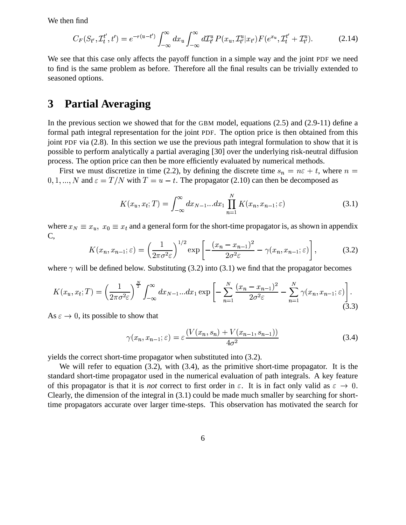We then find

$$
C_F(S_{t'}, \mathcal{I}_t^{t'}, t') = e^{-r(u-t')} \int_{-\infty}^{\infty} dx_u \int_{-\infty}^{\infty} d\mathcal{I}_{t'}^u P(x_u, \mathcal{I}_{t'}^u | x_{t'}) F(e^{x_u}, \mathcal{I}_t^{t'} + \mathcal{I}_{t'}^u). \tag{2.14}
$$

We see that this case only affects the payoff function in a simple way and the joint PDF we need to find is the same problem as before. Therefore all the final results can be trivially extended to seasoned options.

#### $\mathbf{3}$ **Partial Averaging**

In the previous section we showed that for the GBM model, equations  $(2.5)$  and  $(2.9-11)$  define a formal path integral representation for the joint PDF. The option price is then obtained from this joint PDF via (2.8). In this section we use the previous path integral formulation to show that it is possible to perform analytically a partial averaging [30] over the underlying risk-neutral diffusion process. The option price can then be more efficiently evaluated by numerical methods.

First we must discretize in time (2.2), by defining the discrete time  $s_n = n\varepsilon + t$ , where  $n =$  $0, 1, ..., N$  and  $\varepsilon = T/N$  with  $T = u - t$ . The propagator (2.10) can then be decomposed as

$$
K(x_u, x_t; T) = \int_{-\infty}^{\infty} dx_{N-1}...dx_1 \prod_{n=1}^{N} K(x_n, x_{n-1}; \varepsilon)
$$
 (3.1)

where  $x_N \equiv x_u$ ,  $x_0 \equiv x_t$  and a general form for the short-time propagator is, as shown in appendix C,

$$
K(x_n, x_{n-1}; \varepsilon) = \left(\frac{1}{2\pi\sigma^2\varepsilon}\right)^{1/2} \exp\left[-\frac{(x_n - x_{n-1})^2}{2\sigma^2\varepsilon} - \gamma(x_n, x_{n-1}; \varepsilon)\right],\tag{3.2}
$$

where  $\gamma$  will be defined below. Substituting (3.2) into (3.1) we find that the propagator becomes

$$
K(x_u, x_t; T) = \left(\frac{1}{2\pi\sigma^2 \varepsilon}\right)^{\frac{N}{2}} \int_{-\infty}^{\infty} dx_{N-1}...dx_1 \exp\left[-\sum_{n=1}^{N} \frac{(x_n - x_{n-1})^2}{2\sigma^2 \varepsilon} - \sum_{n=1}^{N} \gamma(x_n, x_{n-1}; \varepsilon)\right].
$$
\n(3.3)

As  $\varepsilon \to 0$ , its possible to show that

$$
\gamma(x_n, x_{n-1}; \varepsilon) = \varepsilon \frac{\left(V(x_n, s_n) + V(x_{n-1}, s_{n-1})\right)}{4\sigma^2} \tag{3.4}
$$

yields the correct short-time propagator when substituted into (3.2).

We will refer to equation  $(3.2)$ , with  $(3.4)$ , as the primitive short-time propagator. It is the standard short-time propagator used in the numerical evaluation of path integrals. A key feature of this propagator is that it is *not* correct to first order in  $\varepsilon$ . It is in fact only valid as  $\varepsilon \to 0$ . Clearly, the dimension of the integral in  $(3.1)$  could be made much smaller by searching for shorttime propagators accurate over larger time-steps. This observation has motivated the search for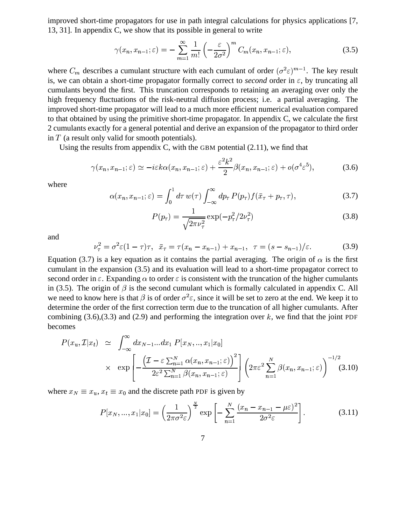improved short-time propagators for use in path integral calculations for physics applications [7, 13, 31]. In appendix C, we show that its possible in general to write

$$
\gamma(x_n, x_{n-1}; \varepsilon) = -\sum_{m=1}^{\infty} \frac{1}{m!} \left( -\frac{\varepsilon}{2\sigma^2} \right)^m C_m(x_n, x_{n-1}; \varepsilon), \tag{3.5}
$$

where  $C_m$  describes a cumulant structure with each cumulant of order  $(\sigma^2 \varepsilon)^{m-1}$ . The key result is, we can obtain a short-time propagator formally correct to second order in  $\varepsilon$ , by truncating all cumulants beyond the first. This truncation corresponds to retaining an averaging over only the high frequency fluctuations of the risk-neutral diffusion process; i.e. a partial averaging. The improved short-time propagator will lead to a much more efficient numerical evaluation compared to that obtained by using the primitive short-time propagator. In appendix C, we calculate the first 2 cumulants exactly for a general potential and derive an expansion of the propagator to third order in  $T$  (a result only valid for smooth potentials).

Using the results from appendix C, with the GBM potential  $(2.11)$ , we find that

$$
\gamma(x_n, x_{n-1}; \varepsilon) \simeq -i\varepsilon k \alpha(x_n, x_{n-1}; \varepsilon) + \frac{\varepsilon^2 k^2}{2} \beta(x_n, x_{n-1}; \varepsilon) + o(\sigma^4 \varepsilon^5), \tag{3.6}
$$

where

$$
\alpha(x_n, x_{n-1}; \varepsilon) = \int_0^1 d\tau \, w(\tau) \int_{-\infty}^\infty dp_\tau \, P(p_\tau) f(\bar{x}_\tau + p_\tau, \tau), \tag{3.7}
$$

$$
P(p_{\tau}) = \frac{1}{\sqrt{2\pi\nu_{\tau}^2}} \exp(-p_{\tau}^2/2\nu_{\tau}^2)
$$
\n(3.8)

and

$$
\nu_{\tau}^{2} = \sigma^{2} \varepsilon (1 - \tau) \tau, \quad \bar{x}_{\tau} = \tau (x_{n} - x_{n-1}) + x_{n-1}, \quad \tau = (s - s_{n-1}) / \varepsilon. \tag{3.9}
$$

Equation (3.7) is a key equation as it contains the partial averaging. The origin of  $\alpha$  is the first cumulant in the expansion (3.5) and its evaluation will lead to a short-time propagator correct to second order in  $\varepsilon$ . Expanding  $\alpha$  to order  $\varepsilon$  is consistent with the truncation of the higher cumulants in (3.5). The origin of  $\beta$  is the second cumulant which is formally calculated in appendix C. All we need to know here is that  $\beta$  is of order  $\sigma^2 \varepsilon$ , since it will be set to zero at the end. We keep it to determine the order of the first correction term due to the truncation of all higher cumulants. After combining  $(3.6)$ ,  $(3.3)$  and  $(2.9)$  and performing the integration over k, we find that the joint PDF becomes

$$
P(x_u, \mathcal{I}|x_t) \simeq \int_{-\infty}^{\infty} dx_{N-1}...dx_1 P[x_N, ..., x_1|x_0]
$$
  
 
$$
\times \exp \left[ -\frac{\left(\mathcal{I} - \varepsilon \sum_{n=1}^{N} \alpha(x_n, x_{n-1}; \varepsilon)\right)^2}{2\varepsilon^2 \sum_{n=1}^{N} \beta(x_n, x_{n-1}; \varepsilon)} \right] \left( 2\pi \varepsilon^2 \sum_{n=1}^{N} \beta(x_n, x_{n-1}; \varepsilon) \right)^{-1/2} (3.10)
$$

where  $x_N \equiv x_u$ ,  $x_t \equiv x_0$  and the discrete path PDF is given by

$$
P[x_N, ..., x_1 | x_0] = \left(\frac{1}{2\pi\sigma^2 \varepsilon}\right)^{\frac{N}{2}} \exp\left[-\sum_{n=1}^N \frac{(x_n - x_{n-1} - \mu \varepsilon)^2}{2\sigma^2 \varepsilon}\right].
$$
 (3.11)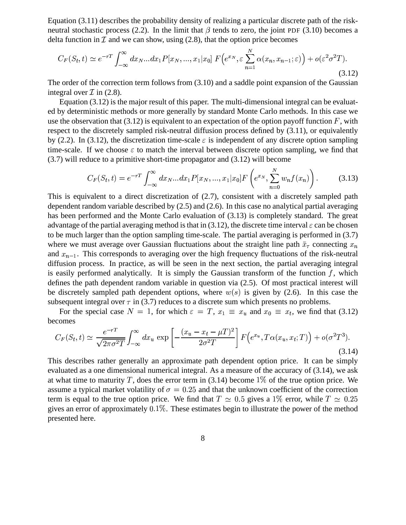Equation  $(3.11)$  describes the probability density of realizing a particular discrete path of the riskneutral stochastic process (2.2). In the limit that  $\beta$  tends to zero, the joint PDF (3.10) becomes a delta function in  $\mathcal I$  and we can show, using (2.8), that the option price becomes

$$
C_F(S_t, t) \simeq e^{-rT} \int_{-\infty}^{\infty} dx_N ... dx_1 P[x_N, ..., x_1 | x_0] \ F\left(e^{x_N}, \varepsilon \sum_{n=1}^N \alpha(x_n, x_{n-1}; \varepsilon)\right) + o(\varepsilon^2 \sigma^2 T). \tag{3.12}
$$

The order of the correction term follows from  $(3.10)$  and a saddle point expansion of the Gaussian integral over  $\mathcal I$  in (2.8).

Equation  $(3.12)$  is the major result of this paper. The multi-dimensional integral can be evaluated by deterministic methods or more generally by standard Monte Carlo methods. In this case we use the observation that  $(3.12)$  is equivalent to an expectation of the option payoff function F, with respect to the discretely sampled risk-neutral diffusion process defined by (3.11), or equivalently by (2.2). In (3.12), the discretization time-scale  $\varepsilon$  is independent of any discrete option sampling time-scale. If we choose  $\varepsilon$  to match the interval between discrete option sampling, we find that  $(3.7)$  will reduce to a primitive short-time propagator and  $(3.12)$  will become

$$
C_F(S_t, t) = e^{-rT} \int_{-\infty}^{\infty} dx_N ... dx_1 P[x_N, ..., x_1 | x_0] F\left(e^{x_N}, \sum_{n=0}^{N} w_n f(x_n)\right).
$$
 (3.13)

This is equivalent to a direct discretization of  $(2.7)$ , consistent with a discretely sampled path dependent random variable described by  $(2.5)$  and  $(2.6)$ . In this case no analytical partial averaging has been performed and the Monte Carlo evaluation of (3.13) is completely standard. The great advantage of the partial averaging method is that in (3.12), the discrete time interval  $\varepsilon$  can be chosen to be much larger than the option sampling time-scale. The partial averaging is performed in  $(3.7)$ where we must average over Gaussian fluctuations about the straight line path  $\bar{x}_{\tau}$  connecting  $x_n$ and  $x_{n-1}$ . This corresponds to averaging over the high frequency fluctuations of the risk-neutral diffusion process. In practice, as will be seen in the next section, the partial averaging integral is easily performed analytically. It is simply the Gaussian transform of the function  $f$ , which defines the path dependent random variable in question via (2.5). Of most practical interest will be discretely sampled path dependent options, where  $w(s)$  is given by (2.6). In this case the subsequent integral over  $\tau$  in (3.7) reduces to a discrete sum which presents no problems.

For the special case  $N = 1$ , for which  $\varepsilon = T$ ,  $x_1 \equiv x_u$  and  $x_0 \equiv x_t$ , we find that (3.12) becomes

$$
C_F(S_t, t) \simeq \frac{e^{-rT}}{\sqrt{2\pi\sigma^2T}} \int_{-\infty}^{\infty} dx_u \exp\left[-\frac{(x_u - x_t - \mu T)^2}{2\sigma^2 T}\right] F\left(e^{x_u}, T\alpha(x_u, x_t; T)\right) + o(\sigma^2 T^3). \tag{3.14}
$$

This describes rather generally an approximate path dependent option price. It can be simply evaluated as a one dimensional numerical integral. As a measure of the accuracy of (3.14), we ask at what time to maturity T, does the error term in  $(3.14)$  become 1% of the true option price. We assume a typical market volatility of  $\sigma = 0.25$  and that the unknown coefficient of the correction term is equal to the true option price. We find that  $T \simeq 0.5$  gives a 1% error, while  $T \simeq 0.25$ gives an error of approximately  $0.1\%$ . These estimates begin to illustrate the power of the method presented here.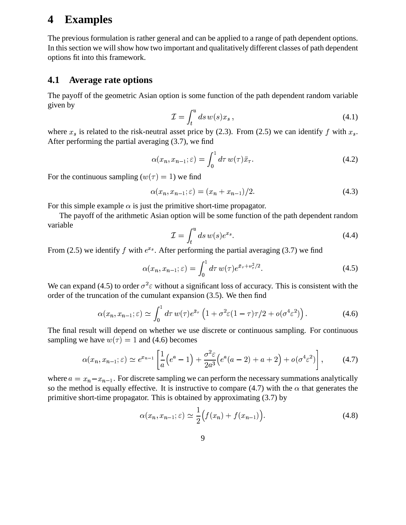#### **Examples** 4

The previous formulation is rather general and can be applied to a range of path dependent options. In this section we will show how two important and qualitatively different classes of path dependent options fit into this framework.

#### 4.1 **Average rate options**

The payoff of the geometric Asian option is some function of the path dependent random variable given by

$$
\mathcal{I} = \int_{t}^{u} ds \, w(s) x_s \,, \tag{4.1}
$$

where  $x_s$  is related to the risk-neutral asset price by (2.3). From (2.5) we can identify f with  $x_s$ . After performing the partial averaging (3.7), we find

$$
\alpha(x_n, x_{n-1}; \varepsilon) = \int_0^1 d\tau \, w(\tau) \bar{x}_\tau. \tag{4.2}
$$

For the continuous sampling  $(w(\tau) = 1)$  we find

$$
\alpha(x_n, x_{n-1}; \varepsilon) = (x_n + x_{n-1})/2.
$$
\n(4.3)

For this simple example  $\alpha$  is just the primitive short-time propagator.

The payoff of the arithmetic Asian option will be some function of the path dependent random variable

$$
\mathcal{I} = \int_{t}^{u} ds \, w(s) e^{xs}.\tag{4.4}
$$

From (2.5) we identify f with  $e^{x_s}$ . After performing the partial averaging (3.7) we find

$$
\alpha(x_n, x_{n-1}; \varepsilon) = \int_0^1 d\tau \, w(\tau) e^{\bar{x}_\tau + \nu_\tau^2/2}.
$$
\n(4.5)

We can expand (4.5) to order  $\sigma^2 \varepsilon$  without a significant loss of accuracy. This is consistent with the order of the truncation of the cumulant expansion  $(3.5)$ . We then find

$$
\alpha(x_n, x_{n-1}; \varepsilon) \simeq \int_0^1 d\tau \, w(\tau) e^{\bar{x}_\tau} \left( 1 + \sigma^2 \varepsilon (1 - \tau) \tau / 2 + o(\sigma^4 \varepsilon^2) \right). \tag{4.6}
$$

The final result will depend on whether we use discrete or continuous sampling. For continuous sampling we have  $w(\tau) = 1$  and (4.6) becomes

$$
\alpha(x_n, x_{n-1}; \varepsilon) \simeq e^{x_{n-1}} \left[ \frac{1}{a} \Big( e^a - 1 \Big) + \frac{\sigma^2 \varepsilon}{2a^3} \Big( e^a (a-2) + a + 2 \Big) + o(\sigma^4 \varepsilon^2) \right],\tag{4.7}
$$

where  $a = x_n - x_{n-1}$ . For discrete sampling we can perform the necessary summations analytically so the method is equally effective. It is instructive to compare (4.7) with the  $\alpha$  that generates the primitive short-time propagator. This is obtained by approximating (3.7) by

$$
\alpha(x_n, x_{n-1}; \varepsilon) \simeq \frac{1}{2} \Big( f(x_n) + f(x_{n-1}) \Big). \tag{4.8}
$$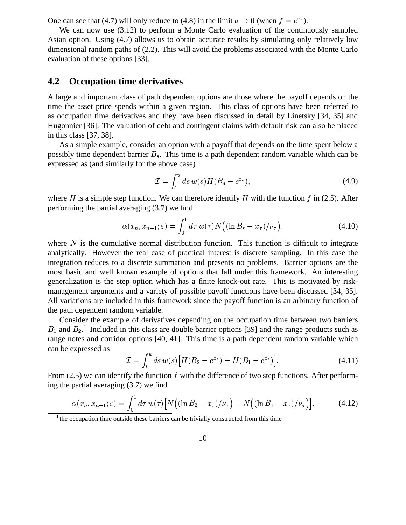One can see that (4.7) will only reduce to (4.8) in the limit  $a \to 0$  (when  $f = e^{x_s}$ ).

We can now use (3.12) to perform a Monte Carlo evaluation of the continuously sampled Asian option. Using (4.7) allows us to obtain accurate results by simulating only relatively low dimensional random paths of (2.2). This will avoid the problems associated with the Monte Carlo evaluation of these options [33].

#### **Occupation time derivatives**  $4.2$

A large and important class of path dependent options are those where the payoff depends on the time the asset price spends within a given region. This class of options have been referred to as occupation time derivatives and they have been discussed in detail by Linetsky [34, 35] and Hugonnier [36]. The valuation of debt and contingent claims with default risk can also be placed in this class [37, 38].

As a simple example, consider an option with a payoff that depends on the time spent below a possibly time dependent barrier  $B_s$ . This time is a path dependent random variable which can be expressed as (and similarly for the above case)

$$
\mathcal{I} = \int_{t}^{u} ds \, w(s) H(B_s - e^{x_s}), \tag{4.9}
$$

where H is a simple step function. We can therefore identify H with the function f in (2.5). After performing the partial averaging  $(3.7)$  we find

$$
\alpha(x_n, x_{n-1}; \varepsilon) = \int_0^1 d\tau \, w(\tau) N\Big( (\ln B_s - \bar{x}_\tau) / \nu_\tau \Big), \tag{4.10}
$$

where  $N$  is the cumulative normal distribution function. This function is difficult to integrate analytically. However the real case of practical interest is discrete sampling. In this case the integration reduces to a discrete summation and presents no problems. Barrier options are the most basic and well known example of options that fall under this framework. An interesting generalization is the step option which has a finite knock-out rate. This is motivated by riskmanagement arguments and a variety of possible payoff functions have been discussed [34, 35]. All variations are included in this framework since the payoff function is an arbitrary function of the path dependent random variable.

Consider the example of derivatives depending on the occupation time between two barriers  $B_1$  and  $B_2$ <sup>1</sup>. Included in this class are double barrier options [39] and the range products such as range notes and corridor options [40, 41]. This time is a path dependent random variable which can be expressed as

$$
\mathcal{I} = \int_{t}^{u} ds \, w(s) \Big[ H(B_2 - e^{x_s}) - H(B_1 - e^{x_s}) \Big]. \tag{4.11}
$$

From  $(2.5)$  we can identify the function f with the difference of two step functions. After performing the partial averaging  $(3.7)$  we find

$$
\alpha(x_n, x_{n-1}; \varepsilon) = \int_0^1 d\tau \, w(\tau) \Big[ N\Big( (\ln B_2 - \bar{x}_\tau)/\nu_\tau \Big) - N\Big( (\ln B_1 - \bar{x}_\tau)/\nu_\tau \Big) \Big]. \tag{4.12}
$$

 $1$  the occupation time outside these barriers can be trivially constructed from this time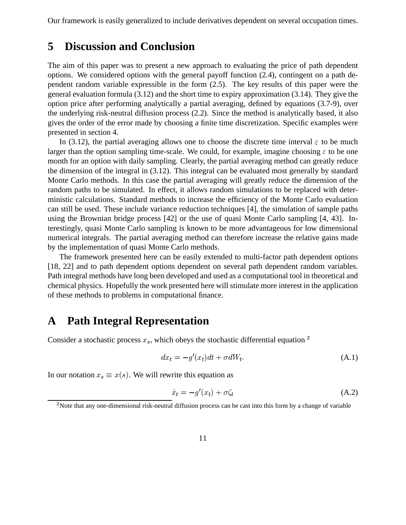Our framework is easily generalized to include derivatives dependent on several occupation times.

### **5 Discussion and Conclusion**

The aim of this paper was to present a new approach to evaluating the price of path dependent options. We considered options with the general payoff function  $(2.4)$ , contingent on a path dependent random variable expressible in the form (2.5). The key results of this paper were the general evaluation formula (3.12) and the short time to expiry approximation (3.14). They give the option price after performing analytically a partial averaging, defined by equations (3.7-9), over the underlying risk-neutral diffusion process (2.2). Since the method is analytically based, it also gives the order of the error made by choosing a finite time discretization. Specific examples were presented in section 4.

In (3.12), the partial averaging allows one to choose the discrete time interval  $\varepsilon$  to be much larger than the option sampling time-scale. We could, for example, imagine choosing  $\varepsilon$  to be one month for an option with daily sampling. Clearly, the partial averaging method can greatly reduce the dimension of the integral in (3.12). This integral can be evaluated most generally by standard Monte Carlo methods. In this case the partial averaging will greatly reduce the dimension of the random paths to be simulated. In effect, it allows random simulations to be replaced with deterministic calculations. Standard methods to increase the efficiency of the Monte Carlo evaluation can still be used. These include variance reduction techniques [4], the simulation of sample paths using the Brownian bridge process [42] or the use of quasi Monte Carlo sampling [4, 43]. Interestingly, quasi Monte Carlo sampling is known to be more advantageous for low dimensional numerical integrals. The partial averaging method can therefore increase the relative gains made by the implementation of quasi Monte Carlo methods.

The framework presented here can be easily extended to multi-factor path dependent options [18, 22] and to path dependent options dependent on several path dependent random variables. Path integral methods have long been developed and used as a computational tool in theoretical and chemical physics. Hopefully the work presented here will stimulate more interest in the application of these methods to problems in computational finance.

### **A Path Integral Representation**

Consider a stochastic process  $x_s$ , which obeys the stochastic differential equation  $^2$ 

$$
dx_t = -g'(x_t)dt + \sigma dW_t.
$$
 (A.1)

In our notation  $x_s \equiv x(s)$ . We will rewrite this equation as

$$
\dot{x}_t = -g'(x_t) + \sigma \zeta_t \tag{A.2}
$$

<sup>&</sup>lt;sup>2</sup>Note that any one-dimensional risk-neutral diffusion process can be cast into this form by a change of variable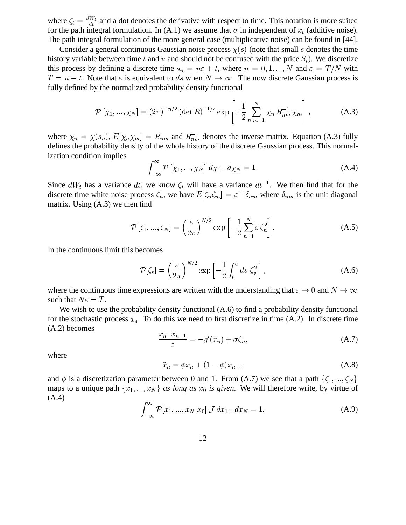where  $\zeta_t = \frac{dW_t}{dt}$  and  $\frac{W_t}{dt}$  and a dot denotes the derivative with respect to time. This notation is more suited for the path integral formulation. In (A.1) we assume that  $\sigma$  in independent of  $x_t$  (additive noise). The path integral formulation of the more general case (multiplicative noise) can be found in [44].

Consider a general continuous Gaussian noise process  $\chi(s)$  (note that small s denotes the time history variable between time t and u and should not be confused with the price  $S_t$ ). We discretize this process by defining a discrete time  $s_n = n\varepsilon + t$ , where  $n = 0, 1, ..., N$  and 3 , ..., N and  $\varepsilon = T/N$  with \_\_\_\_\_\_\_\_  $u - t$ . Note that  $\varepsilon$  is equivalent to ds when  $N \to \infty$ . The now discrete Gaussian process is fully defined by the normalized probability density functional

$$
\mathcal{P}\left[\chi_1, ..., \chi_N\right] = \left(2\pi\right)^{-n/2} \left(\det R\right)^{-1/2} \exp\left[-\frac{1}{2} \sum_{n,m=1}^N \chi_n R_{nm}^{-1} \chi_m\right],\tag{A.3}
$$

where  $\chi_n = \chi(s_n)$ ,  $E[\chi_n \chi]$  $\lambda$  $(s_n), E[\chi_n \chi_m] = R_{nm}$  $[x_i] = R_{nm}$  and  $R^{-1}$  $R_{nm}$  and  $R_{nm}^{-1}$  denotes the inverse matrix. Equation (A.3) fully defines the probability density of the whole history of the discrete Gaussian process. This normalization condition implies

$$
\int_{-\infty}^{\infty} \mathcal{P}\left[\chi_1, \dots, \chi_N\right] d\chi_1 \dots d\chi_N = 1. \tag{A.4}
$$

Since  $dW_t$  has a variance dt, we know  $\zeta_t$  will have a variance  $dt^{-1}$ . We then find that for the Since  $a_{Wt}$  has a variance  $a_{l}$ , we know  $\zeta_{t}$  will have a variance  $a_{l}$ . We then find that for the discrete time white noise process  $\zeta_{n}$ , we have  $E[\zeta_{n}\zeta_{m}] = \varepsilon^{-1}\delta_{nm}$  where  $\delta_{nm}$  is the unit diagona matrix. Using (A.3) we then find

$$
\mathcal{P}\left[\zeta_1, ..., \zeta_N\right] = \left(\frac{\varepsilon}{2\pi}\right)^{N/2} \exp\left[-\frac{1}{2}\sum_{n=1}^N \varepsilon \zeta_n^2\right].
$$
 (A.5)

In the continuous limit this becomes

$$
\mathcal{P}[\zeta_s] = \left(\frac{\varepsilon}{2\pi}\right)^{N/2} \exp\left[-\frac{1}{2}\int_t^u ds \; \zeta_s^2\right],\tag{A.6}
$$

where the continuous time expressions are written with the understanding that  $\varepsilon \to 0$  and  $N \to \infty$ such that  $N\epsilon = T$ .

We wish to use the probability density functional  $(A.6)$  to find a probability density functional for the stochastic process  $x_s$ . To do this we need to first discretize in time (A.2). In discrete time  $(A.2)$  becomes

$$
\frac{x_{n-}x_{n-1}}{\varepsilon} = -g'(\tilde{x}_n) + \sigma \zeta_n, \tag{A.7}
$$

where

$$
\tilde{x}_n = \phi x_n + (1 - \phi)x_{n-1} \tag{A.8}
$$

and  $\phi$  is a discretization parameter between 0 and 1. From (A.7) we see that a path  $\{\zeta_1, ..., \zeta_N\}$ maps to a unique path  $\{x_1, ..., x_N\}$  *as long as*  $x_0$  *is given*. We will therefore write, by virtue of (A.4)

$$
\int_{-\infty}^{\infty} \mathcal{P}[x_1, \dots, x_N | x_0] \, \mathcal{J} \, dx_1 \dots dx_N = 1,\tag{A.9}
$$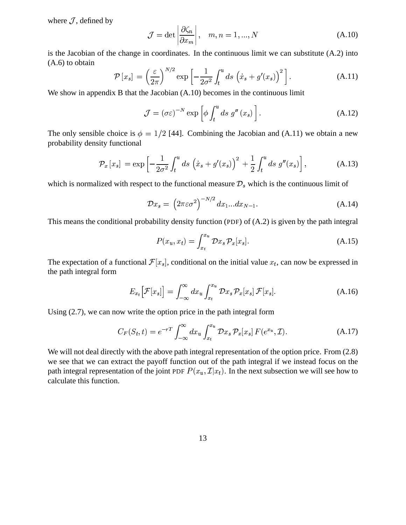where  $J$ , defined by

$$
\mathcal{J} = \det \left| \frac{\partial \zeta_n}{\partial x_m} \right|, \quad m, n = 1, ..., N \tag{A.10}
$$

is the Jacobian of the change in coordinates. In the continuous limit we can substitute (A.2) into  $(A.6)$  to obtain

$$
\mathcal{P}\left[x_s\right] = \left(\frac{\varepsilon}{2\pi}\right)^{N/2} \exp\left[-\frac{1}{2\sigma^2} \int_t^u ds \left(\dot{x}_s + g'(x_s)\right)^2\right].\tag{A.11}
$$

We show in appendix  $B$  that the Jacobian  $(A.10)$  becomes in the continuous limit

$$
\mathcal{J} = (\sigma \varepsilon)^{-N} \exp \left[ \phi \int_{t}^{u} ds \, g''(x_s) \right]. \tag{A.12}
$$

The only sensible choice is  $\phi = 1/2$  [44]. Combining the Jacobian and (A.11) we obtain a new probability density functional

$$
\mathcal{P}_x[x_s] = \exp\left[-\frac{1}{2\sigma^2} \int_t^u ds \, \left(\dot{x}_s + g'(x_s)\right)^2 + \frac{1}{2} \int_t^u ds \, g''(x_s)\right],\tag{A.13}
$$

which is normalized with respect to the functional measure  $\mathcal{D}_s$  which is the continuous limit of

$$
\mathcal{D}x_s = \left(2\pi\varepsilon\sigma^2\right)^{-N/2} dx_1...dx_{N-1}.
$$
\n(A.14)

This means the conditional probability density function (PDF) of  $(A.2)$  is given by the path integral

$$
P(x_u, x_t) = \int_{x_t}^{x_u} \mathcal{D}x_s \mathcal{P}_x[x_s].
$$
\n(A.15)

The expectation of a functional  $\mathcal{F}[x_s]$ , conditional on the initial value  $x_t$ , can now be expressed in the path integral form

$$
E_{x_t}\big[\mathcal{F}[x_s]\big] = \int_{-\infty}^{\infty} dx_u \int_{x_t}^{x_u} \mathcal{D}x_s \, \mathcal{P}_x[x_s] \, \mathcal{F}[x_s]. \tag{A.16}
$$

Using  $(2.7)$ , we can now write the option price in the path integral form

$$
C_F(S_t, t) = e^{-rT} \int_{-\infty}^{\infty} dx_u \int_{x_t}^{x_u} \mathcal{D}x_s \mathcal{P}_x[x_s] F(e^{x_u}, \mathcal{I}). \tag{A.17}
$$

We will not deal directly with the above path integral representation of the option price. From (2.8) we see that we can extract the payoff function out of the path integral if we instead focus on the path integral representation of the joint PDF  $P(x_u, \mathcal{I}|x_t)$ . In the next subsection we will see how to calculate this function.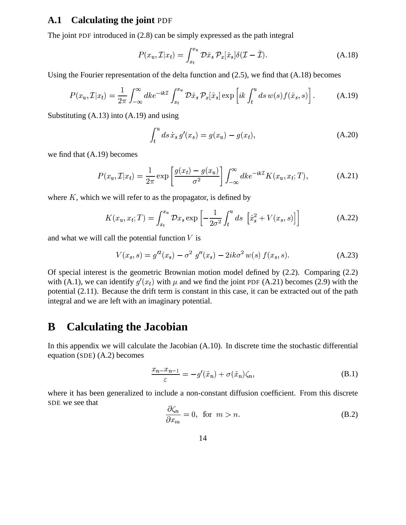#### **Calculating the joint PDF**  $\mathbf{A.1}$

The joint PDF introduced in  $(2.8)$  can be simply expressed as the path integral

$$
P(x_u, \mathcal{I}|x_t) = \int_{x_t}^{x_u} \mathcal{D}\hat{x}_s \mathcal{P}_x[\hat{x}_s] \delta(\mathcal{I} - \hat{\mathcal{I}}).
$$
 (A.18)

Using the Fourier representation of the delta function and  $(2.5)$ , we find that  $(A.18)$  becomes

$$
P(x_u, \mathcal{I}|x_t) = \frac{1}{2\pi} \int_{-\infty}^{\infty} dk e^{-ik\mathcal{I}} \int_{x_t}^{x_u} \mathcal{D}\hat{x}_s \mathcal{P}_x[\hat{x}_s] \exp\left[i k \int_t^u ds \, w(s) f(\hat{x}_s, s)\right]. \tag{A.19}
$$

Substituting  $(A.13)$  into  $(A.19)$  and using

$$
\int_{t}^{u} ds \, \dot{x}_{s} \, g'(x_{s}) = g(x_{u}) - g(x_{t}), \tag{A.20}
$$

we find that  $(A.19)$  becomes

$$
P(x_u, \mathcal{I}|x_t) = \frac{1}{2\pi} \exp\left[\frac{g(x_t) - g(x_u)}{\sigma^2}\right] \int_{-\infty}^{\infty} dk e^{-ik\mathcal{I}} K(x_u, x_t; T), \tag{A.21}
$$

where  $K$ , which we will refer to as the propagator, is defined by

$$
K(x_u, x_t; T) = \int_{x_t}^{x_u} \mathcal{D}x_s \exp\left[-\frac{1}{2\sigma^2} \int_t^u ds \left[ \dot{x}_s^2 + V(x_s, s) \right] \right]
$$
(A.22)

and what we will call the potential function  $V$  is

$$
V(x_s, s) = g'^2(x_s) - \sigma^2 g''(x_s) - 2ik\sigma^2 w(s) f(x_s, s).
$$
 (A.23)

Of special interest is the geometric Brownian motion model defined by  $(2.2)$ . Comparing  $(2.2)$ with (A.1), we can identify  $q'(x_t)$  with  $\mu$  and we find the joint PDF (A.21) becomes (2.9) with the potential (2.11). Because the drift term is constant in this case, it can be extracted out of the path integral and we are left with an imaginary potential.

#### **Calculating the Jacobian** B

In this appendix we will calculate the Jacobian (A.10). In discrete time the stochastic differential equation (SDE) (A.2) becomes

$$
\frac{x_{n-}x_{n-1}}{\varepsilon} = -g'(\tilde{x}_n) + \sigma(\tilde{x}_n)\zeta_n, \tag{B.1}
$$

where it has been generalized to include a non-constant diffusion coefficient. From this discrete SDE we see that

$$
\frac{\partial \zeta_n}{\partial x_m} = 0, \text{ for } m > n. \tag{B.2}
$$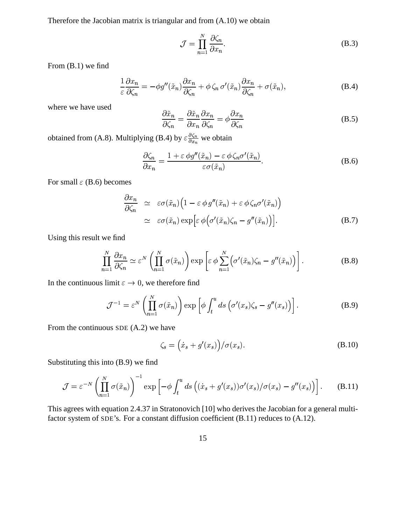Therefore the Jacobian matrix is triangular and from (A.10) we obtain

$$
\mathcal{J} = \prod_{n=1}^{N} \frac{\partial \zeta_n}{\partial x_n}.
$$
 (B.3)

From  $(B.1)$  we find

$$
\frac{1}{\varepsilon} \frac{\partial x_n}{\partial \zeta_n} = -\phi g''(\tilde{x}_n) \frac{\partial x_n}{\partial \zeta_n} + \phi \zeta_n \sigma'(\tilde{x}_n) \frac{\partial x_n}{\partial \zeta_n} + \sigma(\tilde{x}_n),
$$
\n(B.4)

where we have used

$$
\frac{\partial \tilde{x}_n}{\partial \zeta_n} = \frac{\partial \tilde{x}_n}{\partial x_n} \frac{\partial x_n}{\partial \zeta_n} = \phi \frac{\partial x_n}{\partial \zeta_n}
$$
(B.5)

obtained from (A.8). Multiplying (B.4) by  $\varepsilon \frac{\partial \zeta_n}{\partial x_n}$  we obtain

$$
\frac{\partial \zeta_n}{\partial x_n} = \frac{1 + \varepsilon \phi g''(\tilde{x}_n) - \varepsilon \phi \zeta_n \sigma'(\tilde{x}_n)}{\varepsilon \sigma(\tilde{x}_n)}.
$$
\n(B.6)

For small  $\varepsilon$  (B.6) becomes

$$
\frac{\partial x_n}{\partial \zeta_n} \simeq \varepsilon \sigma(\tilde{x}_n) \Big( 1 - \varepsilon \phi \, g''(\tilde{x}_n) + \varepsilon \, \phi \, \zeta_n \sigma'(\tilde{x}_n) \Big) \simeq \varepsilon \sigma(\tilde{x}_n) \exp \big[ \varepsilon \, \phi \big( \sigma'(\tilde{x}_n) \zeta_n - g''(\tilde{x}_n) \big) \big].
$$
\n(B.7)

Using this result we find

$$
\prod_{n=1}^{N} \frac{\partial x_n}{\partial \zeta_n} \simeq \varepsilon^N \left( \prod_{n=1}^{N} \sigma(\tilde{x}_n) \right) \exp \left[ \varepsilon \phi \sum_{n=1}^{N} \left( \sigma'(\tilde{x}_n) \zeta_n - g''(\tilde{x}_n) \right) \right].
$$
 (B.8)

In the continuous limit  $\varepsilon \to 0$ , we therefore find

$$
\mathcal{J}^{-1} = \varepsilon^N \left( \prod_{n=1}^N \sigma(\tilde{x}_n) \right) \exp \left[ \phi \int_t^u ds \left( \sigma'(x_s) \zeta_s - g''(x_s) \right) \right]. \tag{B.9}
$$

From the continuous  $SDE(A.2)$  we have

$$
\zeta_s = \left(\dot{x}_s + g'(x_s)\right) / \sigma(x_s). \tag{B.10}
$$

Substituting this into (B.9) we find

$$
\mathcal{J} = \varepsilon^{-N} \left( \prod_{n=1}^{N} \sigma(\tilde{x}_n) \right)^{-1} \exp \left[ -\phi \int_{t}^{u} ds \left( (\dot{x}_s + g'(x_s)) \sigma'(x_s) / \sigma(x_s) - g''(x_s) \right) \right]. \tag{B.11}
$$

This agrees with equation 2.4.37 in Stratonovich [10] who derives the Jacobian for a general multifactor system of SDE's. For a constant diffusion coefficient (B.11) reduces to (A.12).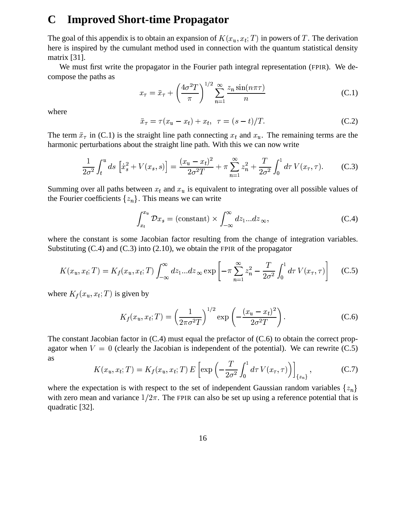#### $\mathbf C$ **Improved Short-time Propagator**

The goal of this appendix is to obtain an expansion of  $K(x_u, x_t; T)$  in powers of T. The derivation here is inspired by the cumulant method used in connection with the quantum statistical density matrix  $[31]$ .

We must first write the propagator in the Fourier path integral representation (FPIR). We decompose the paths as  $1/a$ 

$$
x_{\tau} = \bar{x}_{\tau} + \left(\frac{4\sigma^2 T}{\pi}\right)^{1/2} \sum_{n=1}^{\infty} \frac{z_n \sin(n\pi\tau)}{n}
$$
 (C.1)

where

$$
\bar{x}_{\tau} = \tau(x_u - x_t) + x_t, \ \tau = (s - t)/T. \tag{C.2}
$$

The term  $\bar{x}_{\tau}$  in (C.1) is the straight line path connecting  $x_t$  and  $x_u$ . The remaining terms are the harmonic perturbations about the straight line path. With this we can now write

$$
\frac{1}{2\sigma^2} \int_t^u ds \left[ \dot{x}_s^2 + V(x_s, s) \right] = \frac{(x_u - x_t)^2}{2\sigma^2 T} + \pi \sum_{n=1}^\infty z_n^2 + \frac{T}{2\sigma^2} \int_0^1 d\tau \, V(x_\tau, \tau). \tag{C.3}
$$

Summing over all paths between  $x_t$  and  $x_u$  is equivalent to integrating over all possible values of the Fourier coefficients  $\{z_n\}$ . This means we can write

$$
\int_{x_t}^{x_u} \mathcal{D}x_s = \text{(constant)} \times \int_{-\infty}^{\infty} dz_1...dz_{\infty},\tag{C.4}
$$

where the constant is some Jacobian factor resulting from the change of integration variables. Substituting  $(C.4)$  and  $(C.3)$  into  $(2.10)$ , we obtain the FPIR of the propagator

$$
K(x_u, x_t; T) = K_f(x_u, x_t; T) \int_{-\infty}^{\infty} dz_1 ... dz_{\infty} \exp\left[ -\pi \sum_{n=1}^{\infty} z_n^2 - \frac{T}{2\sigma^2} \int_0^1 d\tau \, V(x_\tau, \tau) \right]
$$
 (C.5)

where  $K_f(x_u, x_t; T)$  is given by

$$
K_f(x_u, x_t; T) = \left(\frac{1}{2\pi\sigma^2 T}\right)^{1/2} \exp\left(-\frac{(x_u - x_t)^2}{2\sigma^2 T}\right).
$$
 (C.6)

The constant Jacobian factor in  $(C.4)$  must equal the prefactor of  $(C.6)$  to obtain the correct propagator when  $V = 0$  (clearly the Jacobian is independent of the potential). We can rewrite (C.5) as

$$
K(x_u, x_t; T) = K_f(x_u, x_t; T) E\left[\exp\left(-\frac{T}{2\sigma^2} \int_0^1 d\tau V(x_\tau, \tau)\right)\right]_{\{z_n\}},
$$
 (C.7)

where the expectation is with respect to the set of independent Gaussian random variables  $\{z_n\}$ with zero mean and variance  $1/2\pi$ . The FPIR can also be set up using a reference potential that is quadratic [32].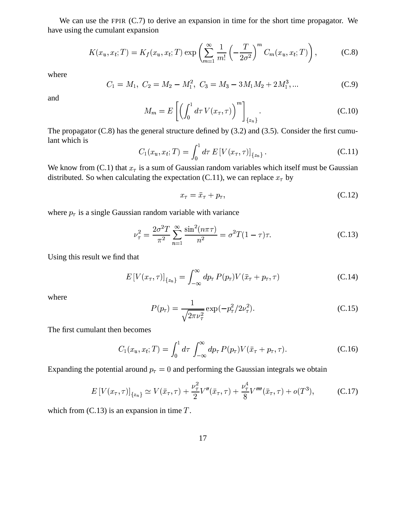We can use the FPIR  $(C.7)$  to derive an expansion in time for the short time propagator. We have using the cumulant expansion

$$
K(x_u, x_t; T) = K_f(x_u, x_t; T) \exp\left(\sum_{m=1}^{\infty} \frac{1}{m!} \left(-\frac{T}{2\sigma^2}\right)^m C_m(x_u, x_t; T)\right), \tag{C.8}
$$

where

$$
C_1 = M_1, C_2 = M_2 - M_1^2, C_3 = M_3 - 3M_1M_2 + 2M_1^3, \dots
$$
 (C.9)

and

$$
M_m = E\left[\left(\int_0^1 d\tau \, V(x_\tau, \tau)\right)^m\right]_{\{z_n\}}.\tag{C.10}
$$

The propagator  $(C.8)$  has the general structure defined by  $(3.2)$  and  $(3.5)$ . Consider the first cumulant which is

$$
C_1(x_u, x_t; T) = \int_0^1 d\tau \, E\left[V(x_\tau, \tau)\right]_{\{z_n\}}.\tag{C.11}
$$

We know from (C.1) that  $x_{\tau}$  is a sum of Gaussian random variables which itself must be Gaussian distributed. So when calculating the expectation (C.11), we can replace  $x_{\tau}$  by

$$
x_{\tau} = \bar{x}_{\tau} + p_{\tau}, \tag{C.12}
$$

where  $p_{\tau}$  is a single Gaussian random variable with variance

$$
\nu_{\tau}^{2} = \frac{2\sigma^{2}T}{\pi^{2}} \sum_{n=1}^{\infty} \frac{\sin^{2}(n\pi\tau)}{n^{2}} = \sigma^{2}T(1-\tau)\tau.
$$
 (C.13)

Using this result we find that

$$
E\left[V(x_{\tau},\tau)\right]_{\{z_{n}\}} = \int_{-\infty}^{\infty} dp_{\tau} P(p_{\tau}) V(\bar{x}_{\tau} + p_{\tau}, \tau) \tag{C.14}
$$

where

$$
P(p_{\tau}) = \frac{1}{\sqrt{2\pi\nu_{\tau}^2}} \exp(-p_{\tau}^2/2\nu_{\tau}^2). \tag{C.15}
$$

The first cumulant then becomes

$$
C_1(x_u, x_t; T) = \int_0^1 d\tau \int_{-\infty}^{\infty} dp_\tau P(p_\tau) V(\bar{x}_\tau + p_\tau, \tau).
$$
 (C.16)

Expanding the potential around  $p_{\tau} = 0$  and performing the Gaussian integrals we obtain

$$
E\left[V(x_{\tau},\tau)\right]_{\{z_{n}\}} \simeq V(\bar{x}_{\tau},\tau) + \frac{\nu_{\tau}^{2}}{2}V''(\bar{x}_{\tau},\tau) + \frac{\nu_{\tau}^{4}}{8}V''''(\bar{x}_{\tau},\tau) + o(T^{3}),\tag{C.17}
$$

which from  $(C.13)$  is an expansion in time  $T$ .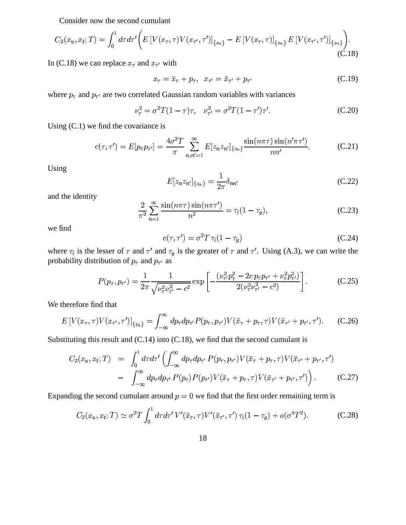Consider now the second cumulant

$$
C_2(x_u, x_t; T) = \int_0^1 d\tau d\tau' \bigg( E\left[V(x_\tau, \tau)V(x_{\tau'}, \tau')\right]_{\{z_n\}} - E\left[V(x_\tau, \tau)\right]_{\{z_n\}} E\left[V(x_{\tau'}, \tau')\right]_{\{z_n\}} \bigg). \tag{C.18}
$$

In (C.18) we can replace  $x_{\tau}$  and  $x_{\tau}$  with

$$
x_{\tau} = \bar{x}_{\tau} + p_{\tau}, \ \ x_{\tau'} = \bar{x}_{\tau'} + p_{\tau'}
$$
 (C.19)

where  $p_{\tau}$  and  $p_{\tau'}$  are two correlated Gaussian random variables with variances

$$
\nu_{\tau}^{2} = \sigma^{2} T (1 - \tau) \tau, \quad \nu_{\tau'}^{2} = \sigma^{2} T (1 - \tau') \tau'. \tag{C.20}
$$

Using  $(C.1)$  we find the covariance is

$$
c(\tau, \tau') = E[p_{\tau}p_{\tau'}] = \frac{4\sigma^2 T}{\pi} \sum_{n,n'=1}^{\infty} E[z_n z_{n'}]_{\{z_n\}} \frac{\sin(n\pi \tau) \sin(n'\pi \tau')}{nn'}. \tag{C.21}
$$

Using

$$
E[z_n z_{n'}]_{\{z_n\}} = \frac{1}{2\pi} \delta_{nn'} \tag{C.22}
$$

and the identity

$$
\frac{2}{\pi^2} \sum_{n=1}^{\infty} \frac{\sin(n\pi\tau)\sin(n\pi\tau')}{n^2} = \tau_l (1 - \tau_g),
$$
 (C.23)

we find

$$
c(\tau, \tau') = \sigma^2 T \tau (1 - \tau_g) \tag{C.24}
$$

where  $\tau_l$  is the lesser of  $\tau$  and  $\tau'$  and  $\tau_g$  is the greater of  $\tau$  and  $\tau'$ . Using (A.3), we can write the probability distribution of  $p_{\tau}$  and  $p_{\tau'}$  as

$$
P(p_{\tau}, p_{\tau'}) = \frac{1}{2\pi} \frac{1}{\sqrt{\nu_{\tau}^2 \nu_{\tau'}^2 - c^2}} \exp\left[ -\frac{(\nu_{\tau'}^2 p_{\tau}^2 - 2c \, p_{\tau} p_{\tau'} + \nu_{\tau}^2 p_{\tau'}^2)}{2(\nu_{\tau}^2 \nu_{\tau'}^2 - c^2)} \right].
$$
 (C.25)

We therefore find that

$$
E[V(x_{\tau}, \tau)V(x_{\tau'}, \tau')]_{\{z_n\}} = \int_{-\infty}^{\infty} dp_{\tau} dp_{\tau'} P(p_{\tau}, p_{\tau'}) V(\bar{x}_{\tau} + p_{\tau}, \tau) V(\bar{x}_{\tau'} + p_{\tau'}, \tau'). \quad (C.26)
$$

Substituting this result and  $(C.14)$  into  $(C.18)$ , we find that the second cumulant is

$$
C_2(x_u, x_t; T) = \int_0^1 d\tau d\tau' \left( \int_{-\infty}^{\infty} dp_{\tau} dp_{\tau'} P(p_{\tau}, p_{\tau'}) V(\bar{x}_{\tau} + p_{\tau}, \tau) V(\bar{x}_{\tau'} + p_{\tau'}, \tau') - \int_{-\infty}^{\infty} dp_{\tau} dp_{\tau'} P(p_{\tau}) P(p_{\tau'}) V(\bar{x}_{\tau} + p_{\tau}, \tau) V(\bar{x}_{\tau'} + p_{\tau'}, \tau') \right).
$$
 (C.27)

Expanding the second cumulant around  $p = 0$  we find that the first order remaining term is

$$
C_2(x_u, x_t; T) \simeq \sigma^2 T \int_0^1 d\tau d\tau' V'(\bar{x}_{\tau}, \tau) V'(\bar{x}_{\tau'}, \tau') \tau_l (1 - \tau_g) + o(\sigma^4 T^2). \tag{C.28}
$$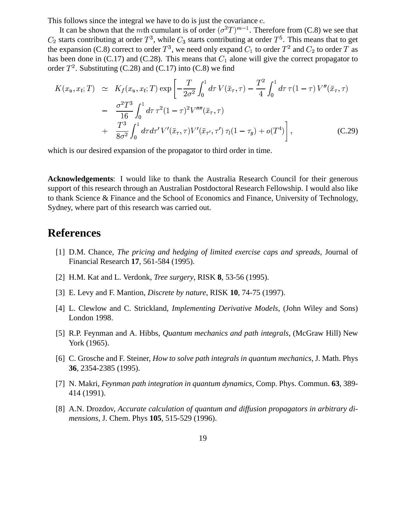This follows since the integral we have to do is just the covariance  $c$ .

It can be shown that the mth cumulant is of order  $(\sigma^2 T)^{m-1}$ . Therefore from (C.8) we see that  $C_2$  starts contributing at order  $T^3$ , while  $C_3$  starts contributing at order  $T^5$ . This means that to get the expansion (C.8) correct to order  $T^3$ , we need only expand  $C_1$  to order  $T^2$  and  $C_2$  to order T as has been done in (C.17) and (C.28). This means that  $C_1$  alone will give the correct propagator to order  $T^2$ . Substituting (C.28) and (C.17) into (C.8) we find

$$
K(x_u, x_t; T) \simeq K_f(x_u, x_t; T) \exp\left[ -\frac{T}{2\sigma^2} \int_0^1 d\tau \, V(\bar{x}_\tau, \tau) - \frac{T^2}{4} \int_0^1 d\tau \, \tau (1 - \tau) \, V''(\bar{x}_\tau, \tau) \right] - \frac{\sigma^2 T^3}{16} \int_0^1 d\tau \, \tau^2 (1 - \tau)^2 V''''(\bar{x}_\tau, \tau) + \frac{T^3}{8\sigma^2} \int_0^1 d\tau d\tau' \, V'(\bar{x}_\tau, \tau) V'(\bar{x}_{\tau'}, \tau') \, \tau_l (1 - \tau_g) + o(T^4) \right], \tag{C.29}
$$

which is our desired expansion of the propagator to third order in time.

**Acknowledgements:** I would like to thank the Australia Research Council for their generous support of this research through an Australian Postdoctoral Research Fellowship. I would also like to thank Science & Finance and the School of Economics and Finance, University of Technology, Sydney, where part of this research was carried out.

### **References**

- [1] D.M. Chance, The pricing and hedging of limited exercise caps and spreads, Journal of Financial Research 17, 561-584 (1995).
- [2] H.M. Kat and L. Verdonk, *Tree surgery*, RISK 8, 53-56 (1995).
- [3] E. Levy and F. Mantion, *Discrete by nature*, RISK 10, 74-75 (1997).
- [4] L. Clewlow and C. Strickland, *Implementing Derivative Models*, (John Wiley and Sons) London 1998.
- [5] R.P. Feynman and A. Hibbs, *Quantum mechanics and path integrals*, (McGraw Hill) New York (1965).
- [6] C. Grosche and F. Steiner, *How to solve path integrals in quantum mechanics*, J. Math. Phys 36, 2354-2385 (1995).
- [7] N. Makri, Feynman path integration in quantum dynamics, Comp. Phys. Commun. 63, 389-414 (1991).
- [8] A.N. Drozdov, Accurate calculation of quantum and diffusion propagators in arbitrary dimensions, J. Chem. Phys 105, 515-529 (1996).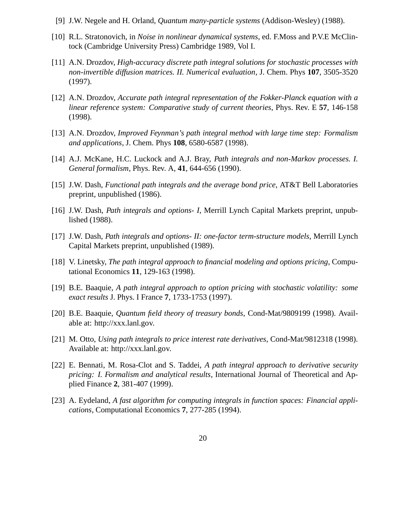- [9] J.W. Negele and H. Orland, *Quantum many-particle systems* (Addison-Wesley) (1988).
- [10] R.L. Stratonovich, in *Noise in nonlinear dynamical systems*, ed. F.Moss and P.V.E McClintock (Cambridge University Press) Cambridge 1989, Vol I.
- [11] A.N. Drozdov, *High-accuracy discrete path integral solutions for stochastic processes with non-invertible diffusion matrices. II. Numerical evaluation*, J. Chem. Phys **107**, 3505-3520 (1997).
- [12] A.N. Drozdov, *Accurate path integral representation of the Fokker-Planck equation with a linear reference system: Comparative study of current theories*, Phys. Rev. E **57**, 146-158 (1998).
- [13] A.N. Drozdov, *Improved Feynman's path integral method with large time step: Formalism and applications*, J. Chem. Phys **108**, 6580-6587 (1998).
- [14] A.J. McKane, H.C. Luckock and A.J. Bray, *Path integrals and non-Markov processes. I. General formalism*, Phys. Rev. A, **41**, 644-656 (1990).
- [15] J.W. Dash, *Functional path integrals and the average bond price*, AT&T Bell Laboratories preprint, unpublished (1986).
- [16] J.W. Dash, *Path integrals and options- I*, Merrill Lynch Capital Markets preprint, unpublished (1988).
- [17] J.W. Dash, *Path integrals and options- II: one-factor term-structure models*, Merrill Lynch Capital Markets preprint, unpublished (1989).
- [18] V. Linetsky, *The path integral approach to financial modeling and options pricing*, Computational Economics **11**, 129-163 (1998).
- [19] B.E. Baaquie, *A path integral approach to option pricing with stochastic volatility: some exact results* J. Phys. I France **7**, 1733-1753 (1997).
- [20] B.E. Baaquie, *Quantum field theory of treasury bonds*, Cond-Mat/9809199 (1998). Available at: http://xxx.lanl.gov.
- [21] M. Otto, *Using path integrals to price interest rate derivatives*, Cond-Mat/9812318 (1998). Available at: http://xxx.lanl.gov.
- [22] E. Bennati, M. Rosa-Clot and S. Taddei, *A path integral approach to derivative security pricing: I. Formalism and analytical results*, International Journal of Theoretical and Applied Finance **2**, 381-407 (1999).
- [23] A. Eydeland, *A fast algorithm for computing integrals in function spaces: Financial applications*, Computational Economics **7**, 277-285 (1994).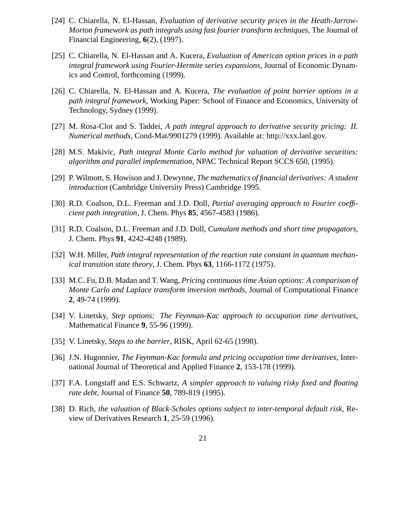- [24] C. Chiarella, N. El-Hassan, *Evaluation of derivative security prices in the Heath-Jarrow-Morton framework as path integrals using fast fourier transform techniques*, The Journal of Financial Engineering, **6**(2), (1997).
- [25] C. Chiarella, N. El-Hassan and A. Kucera, *Evaluation of American option prices in a path integral framework using Fourier-Hermite series expansions*, Journal of Economic Dynamics and Control, forthcoming (1999).
- [26] C. Chiarella, N. El-Hassan and A. Kucera, *The evaluation of point barrier options in a path integral framework*, Working Paper: School of Finance and Economics, University of Technology, Sydney (1999).
- [27] M. Rosa-Clot and S. Taddei, *A path integral approach to derivative security pricing: II. Numerical methods*, Cond-Mat/9901279 (1999). Available at: http://xxx.lanl.gov.
- [28] M.S. Makivic, *Path integral Monte Carlo method for valuation of derivative securities: algorithm and parallel implementation*, NPAC Technical Report SCCS 650, (1995).
- [29] P. Wilmott, S. Howison and J. Dewynne, *The mathematics of financial derivatives: A student introduction* (Cambridge University Press) Cambridge 1995.
- [30] R.D. Coalson, D.L. Freeman and J.D. Doll, *Partial averaging approach to Fourier coefficient path integration*, J. Chem. Phys **85**, 4567-4583 (1986).
- [31] R.D. Coalson, D.L. Freeman and J.D. Doll, *Cumulant methods and short time propagators*, J. Chem. Phys **91**, 4242-4248 (1989).
- [32] W.H. Miller, *Path integral representation of the reaction rate constant in quantum mechanical transition state theory*, J. Chem. Phys **63**, 1166-1172 (1975).
- [33] M.C. Fu, D.B. Madan and T. Wang, *Pricing continuous time Asian options: A comparison of Monte Carlo and Laplace transform inversion methods*, Journal of Computational Finance **2**, 49-74 (1999).
- [34] V. Linetsky, *Step options: The Feynman-Kac approach to occupation time derivatives*, Mathematical Finance **9**, 55-96 (1999).
- [35] V. Linetsky, *Steps to the barrier*, RISK, April 62-65 (1998).
- [36] J.N. Hugonnier, *The Feynman-Kac formula and pricing occupation time derivatives*, International Journal of Theoretical and Applied Finance **2**, 153-178 (1999).
- [37] F.A. Longstaff and E.S. Schwartz, *A simpler approach to valuing risky fixed and floating rate debt*, Journal of Finance **50**, 789-819 (1995).
- [38] D. Rich, *the valuation of Black-Scholes options subject to inter-temporal default risk*, Review of Derivatives Research **1**, 25-59 (1996).